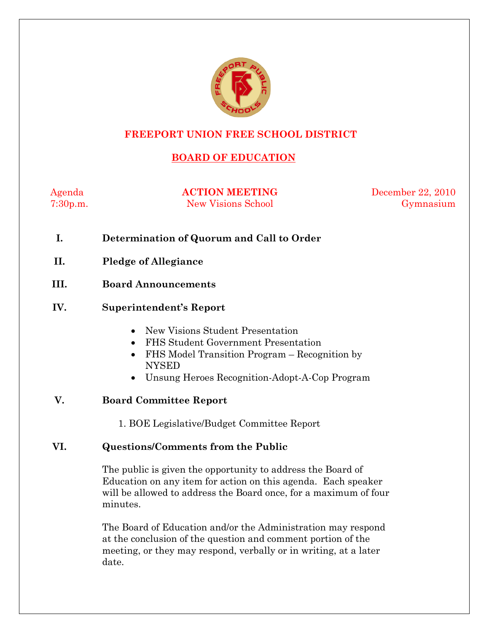

# **FREEPORT UNION FREE SCHOOL DISTRICT**

# **BOARD OF EDUCATION**

Agenda **ACTION MEETING** December 22, 2010 7:30p.m. New Visions School Gymnasium

- **I. Determination of Quorum and Call to Order**
- **II. Pledge of Allegiance**
- **III. Board Announcements**

### **IV. Superintendent's Report**

- New Visions Student Presentation
- FHS Student Government Presentation
- FHS Model Transition Program Recognition by NYSED
- Unsung Heroes Recognition-Adopt-A-Cop Program

# **V. Board Committee Report**

1. BOE Legislative/Budget Committee Report

# **VI. Questions/Comments from the Public**

The public is given the opportunity to address the Board of Education on any item for action on this agenda. Each speaker will be allowed to address the Board once, for a maximum of four minutes.

The Board of Education and/or the Administration may respond at the conclusion of the question and comment portion of the meeting, or they may respond, verbally or in writing, at a later date.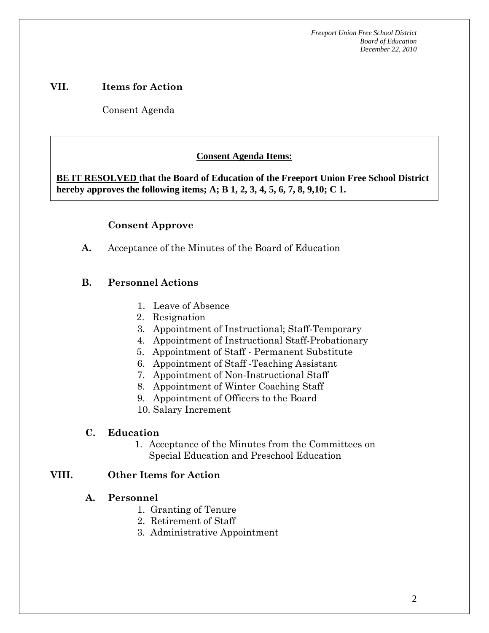### **VII. Items for Action**

Consent Agenda

 **AA. Consent - Approve** 

# **Consent Agenda Items:**

 *Acceptance of the Minutes*  $\mathbf{A}$ **BE IT RESOLVED that the Board of Education of the Freeport Union Free School District hereby approves the following items; A; B 1, 2, 3, 4, 5, 6, 7, 8, 9,10; C 1.** 

### **Consent Approve**

**A.** Acceptance of the Minutes of the Board of Education

# **B. Personnel Actions**

- 1. Leave of Absence
- 2. Resignation
- 3. Appointment of Instructional; Staff-Temporary
- 4. Appointment of Instructional Staff-Probationary
- 5. Appointment of Staff Permanent Substitute
- 6. Appointment of Staff -Teaching Assistant
- 7. Appointment of Non-Instructional Staff
- 8. Appointment of Winter Coaching Staff
- 9. Appointment of Officers to the Board
- 10. Salary Increment

#### **C. Education**

1. Acceptance of the Minutes from the Committees on Special Education and Preschool Education

#### **VIII. Other Items for Action**

#### **A. Personnel**

- 1. Granting of Tenure
- 2. Retirement of Staff
- 3. Administrative Appointment